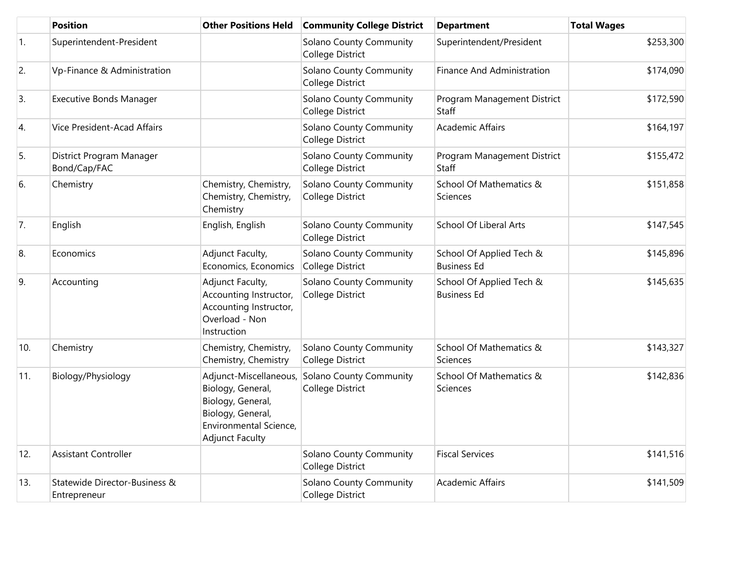|            | <b>Position</b>                               | <b>Other Positions Held</b>                                                                                                               | <b>Community College District</b>                  | <b>Department</b>                              | <b>Total Wages</b> |
|------------|-----------------------------------------------|-------------------------------------------------------------------------------------------------------------------------------------------|----------------------------------------------------|------------------------------------------------|--------------------|
| $\vert$ 1. | Superintendent-President                      |                                                                                                                                           | <b>Solano County Community</b><br>College District | Superintendent/President                       | \$253,300          |
| 2.         | Vp-Finance & Administration                   |                                                                                                                                           | Solano County Community<br>College District        | Finance And Administration                     | \$174,090          |
| 3.         | <b>Executive Bonds Manager</b>                |                                                                                                                                           | Solano County Community<br><b>College District</b> | Program Management District<br>Staff           | \$172,590          |
| 4.         | Vice President-Acad Affairs                   |                                                                                                                                           | <b>Solano County Community</b><br>College District | <b>Academic Affairs</b>                        | \$164,197          |
| 5.         | District Program Manager<br>Bond/Cap/FAC      |                                                                                                                                           | Solano County Community<br>College District        | Program Management District<br><b>Staff</b>    | \$155,472          |
| 6.         | Chemistry                                     | Chemistry, Chemistry,<br>Chemistry, Chemistry,<br>Chemistry                                                                               | Solano County Community<br>College District        | School Of Mathematics &<br>Sciences            | \$151,858          |
| 7.         | English                                       | English, English                                                                                                                          | Solano County Community<br>College District        | <b>School Of Liberal Arts</b>                  | \$147,545          |
| 8.         | Economics                                     | Adjunct Faculty,<br>Economics, Economics                                                                                                  | Solano County Community<br><b>College District</b> | School Of Applied Tech &<br><b>Business Ed</b> | \$145,896          |
| 9.         | Accounting                                    | Adjunct Faculty,<br>Accounting Instructor,<br>Accounting Instructor,<br>Overload - Non<br>Instruction                                     | Solano County Community<br>College District        | School Of Applied Tech &<br><b>Business Ed</b> | \$145,635          |
| 10.        | Chemistry                                     | Chemistry, Chemistry,<br>Chemistry, Chemistry                                                                                             | <b>Solano County Community</b><br>College District | School Of Mathematics &<br>Sciences            | \$143,327          |
| 11.        | Biology/Physiology                            | Adjunct-Miscellaneous,<br>Biology, General,<br>Biology, General,<br>Biology, General,<br>Environmental Science,<br><b>Adjunct Faculty</b> | Solano County Community<br>College District        | School Of Mathematics &<br>Sciences            | \$142,836          |
| 12.        | <b>Assistant Controller</b>                   |                                                                                                                                           | <b>Solano County Community</b><br>College District | <b>Fiscal Services</b>                         | \$141,516          |
| 13.        | Statewide Director-Business &<br>Entrepreneur |                                                                                                                                           | Solano County Community<br>College District        | <b>Academic Affairs</b>                        | \$141,509          |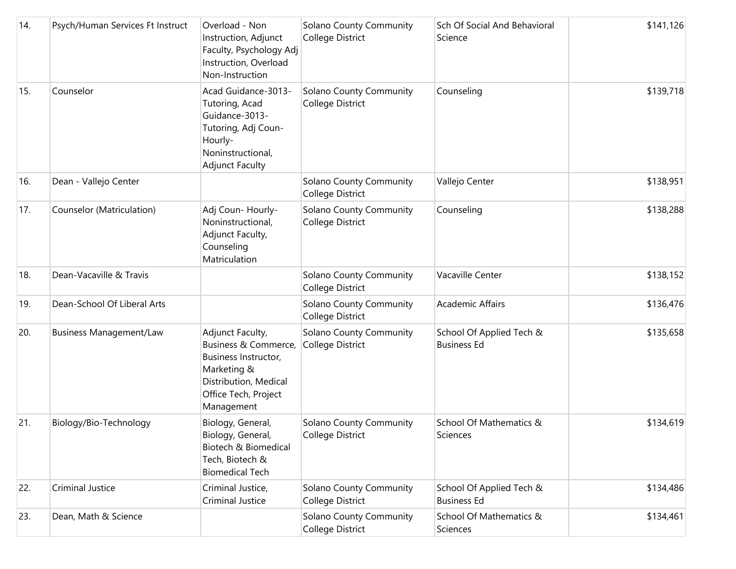| 14. | Psych/Human Services Ft Instruct | Overload - Non<br>Instruction, Adjunct<br>Faculty, Psychology Adj<br>Instruction, Overload<br>Non-Instruction                                  | Solano County Community<br>College District        | Sch Of Social And Behavioral<br>Science        | \$141,126 |
|-----|----------------------------------|------------------------------------------------------------------------------------------------------------------------------------------------|----------------------------------------------------|------------------------------------------------|-----------|
| 15. | Counselor                        | Acad Guidance-3013-<br>Tutoring, Acad<br>Guidance-3013-<br>Tutoring, Adj Coun-<br>Hourly-<br>Noninstructional,<br><b>Adjunct Faculty</b>       | Solano County Community<br>College District        | Counseling                                     | \$139,718 |
| 16. | Dean - Vallejo Center            |                                                                                                                                                | Solano County Community<br>College District        | Vallejo Center                                 | \$138,951 |
| 17. | Counselor (Matriculation)        | Adj Coun- Hourly-<br>Noninstructional,<br>Adjunct Faculty,<br>Counseling<br>Matriculation                                                      | Solano County Community<br>College District        | Counseling                                     | \$138,288 |
| 18. | Dean-Vacaville & Travis          |                                                                                                                                                | Solano County Community<br><b>College District</b> | Vacaville Center                               | \$138,152 |
| 19. | Dean-School Of Liberal Arts      |                                                                                                                                                | Solano County Community<br>College District        | <b>Academic Affairs</b>                        | \$136,476 |
| 20. | <b>Business Management/Law</b>   | Adjunct Faculty,<br>Business & Commerce,<br>Business Instructor,<br>Marketing &<br>Distribution, Medical<br>Office Tech, Project<br>Management | Solano County Community<br>College District        | School Of Applied Tech &<br><b>Business Ed</b> | \$135,658 |
| 21. | Biology/Bio-Technology           | Biology, General,<br>Biology, General,<br>Biotech & Biomedical<br>Tech, Biotech &<br><b>Biomedical Tech</b>                                    | Solano County Community<br>College District        | School Of Mathematics &<br>Sciences            | \$134,619 |
| 22. | Criminal Justice                 | Criminal Justice,<br>Criminal Justice                                                                                                          | Solano County Community<br>College District        | School Of Applied Tech &<br><b>Business Ed</b> | \$134,486 |
| 23. | Dean, Math & Science             |                                                                                                                                                | Solano County Community<br>College District        | School Of Mathematics &<br>Sciences            | \$134,461 |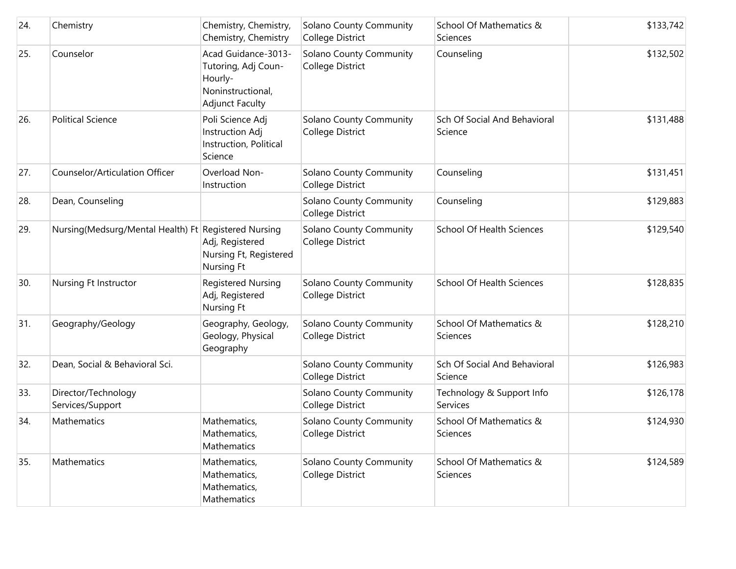| 24. | Chemistry                                            | Chemistry, Chemistry,<br>Chemistry, Chemistry                                                        | Solano County Community<br>College District        | School Of Mathematics &<br>Sciences     | \$133,742 |
|-----|------------------------------------------------------|------------------------------------------------------------------------------------------------------|----------------------------------------------------|-----------------------------------------|-----------|
| 25. | Counselor                                            | Acad Guidance-3013-<br>Tutoring, Adj Coun-<br>Hourly-<br>Noninstructional,<br><b>Adjunct Faculty</b> | Solano County Community<br>College District        | Counseling                              | \$132,502 |
| 26. | <b>Political Science</b>                             | Poli Science Adj<br>Instruction Adj<br>Instruction, Political<br>Science                             | Solano County Community<br>College District        | Sch Of Social And Behavioral<br>Science | \$131,488 |
| 27. | Counselor/Articulation Officer                       | Overload Non-<br>Instruction                                                                         | Solano County Community<br>College District        | Counseling                              | \$131,451 |
| 28. | Dean, Counseling                                     |                                                                                                      | Solano County Community<br>College District        | Counseling                              | \$129,883 |
| 29. | Nursing(Medsurg/Mental Health) Ft Registered Nursing | Adj, Registered<br>Nursing Ft, Registered<br><b>Nursing Ft</b>                                       | <b>Solano County Community</b><br>College District | <b>School Of Health Sciences</b>        | \$129,540 |
| 30. | Nursing Ft Instructor                                | <b>Registered Nursing</b><br>Adj, Registered<br><b>Nursing Ft</b>                                    | Solano County Community<br>College District        | <b>School Of Health Sciences</b>        | \$128,835 |
| 31. | Geography/Geology                                    | Geography, Geology,<br>Geology, Physical<br>Geography                                                | Solano County Community<br>College District        | School Of Mathematics &<br>Sciences     | \$128,210 |
| 32. | Dean, Social & Behavioral Sci.                       |                                                                                                      | Solano County Community<br>College District        | Sch Of Social And Behavioral<br>Science | \$126,983 |
| 33. | Director/Technology<br>Services/Support              |                                                                                                      | Solano County Community<br>College District        | Technology & Support Info<br>Services   | \$126,178 |
| 34. | Mathematics                                          | Mathematics,<br>Mathematics,<br>Mathematics                                                          | Solano County Community<br>College District        | School Of Mathematics &<br>Sciences     | \$124,930 |
| 35. | Mathematics                                          | Mathematics,<br>Mathematics,<br>Mathematics,<br>Mathematics                                          | <b>Solano County Community</b><br>College District | School Of Mathematics &<br>Sciences     | \$124,589 |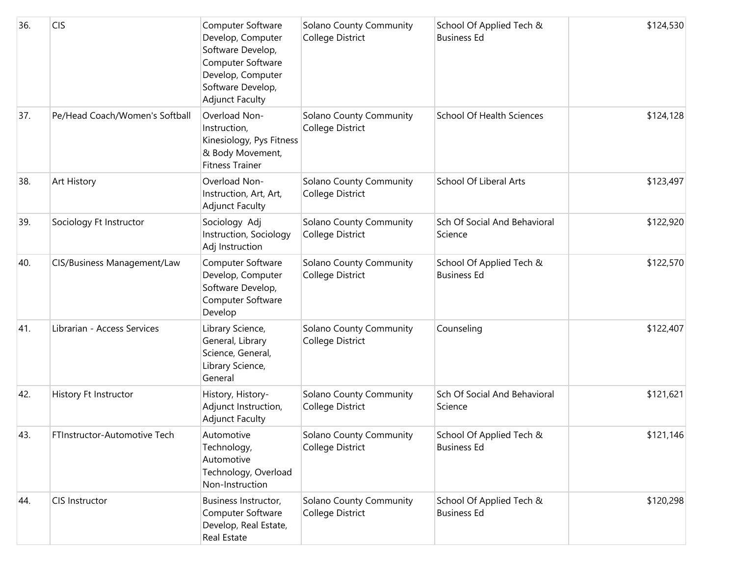| 36. | <b>CIS</b>                     | Computer Software<br>Develop, Computer<br>Software Develop,<br>Computer Software<br>Develop, Computer<br>Software Develop,<br><b>Adjunct Faculty</b> | Solano County Community<br>College District | School Of Applied Tech &<br><b>Business Ed</b> | \$124,530 |
|-----|--------------------------------|------------------------------------------------------------------------------------------------------------------------------------------------------|---------------------------------------------|------------------------------------------------|-----------|
| 37. | Pe/Head Coach/Women's Softball | Overload Non-<br>Instruction,<br>Kinesiology, Pys Fitness<br>& Body Movement,<br><b>Fitness Trainer</b>                                              | Solano County Community<br>College District | School Of Health Sciences                      | \$124,128 |
| 38. | <b>Art History</b>             | Overload Non-<br>Instruction, Art, Art,<br><b>Adjunct Faculty</b>                                                                                    | Solano County Community<br>College District | <b>School Of Liberal Arts</b>                  | \$123,497 |
| 39. | Sociology Ft Instructor        | Sociology Adj<br>Instruction, Sociology<br>Adj Instruction                                                                                           | Solano County Community<br>College District | Sch Of Social And Behavioral<br>Science        | \$122,920 |
| 40. | CIS/Business Management/Law    | Computer Software<br>Develop, Computer<br>Software Develop,<br>Computer Software<br>Develop                                                          | Solano County Community<br>College District | School Of Applied Tech &<br><b>Business Ed</b> | \$122,570 |
| 41. | Librarian - Access Services    | Library Science,<br>General, Library<br>Science, General,<br>Library Science,<br>General                                                             | Solano County Community<br>College District | Counseling                                     | \$122,407 |
| 42. | History Ft Instructor          | History, History-<br>Adjunct Instruction,<br><b>Adjunct Faculty</b>                                                                                  | Solano County Community<br>College District | Sch Of Social And Behavioral<br>Science        | \$121,621 |
| 43. | FTInstructor-Automotive Tech   | Automotive<br>Technology,<br>Automotive<br>Technology, Overload<br>Non-Instruction                                                                   | Solano County Community<br>College District | School Of Applied Tech &<br><b>Business Ed</b> | \$121,146 |
| 44. | CIS Instructor                 | Business Instructor,<br>Computer Software<br>Develop, Real Estate,<br>Real Estate                                                                    | Solano County Community<br>College District | School Of Applied Tech &<br><b>Business Ed</b> | \$120,298 |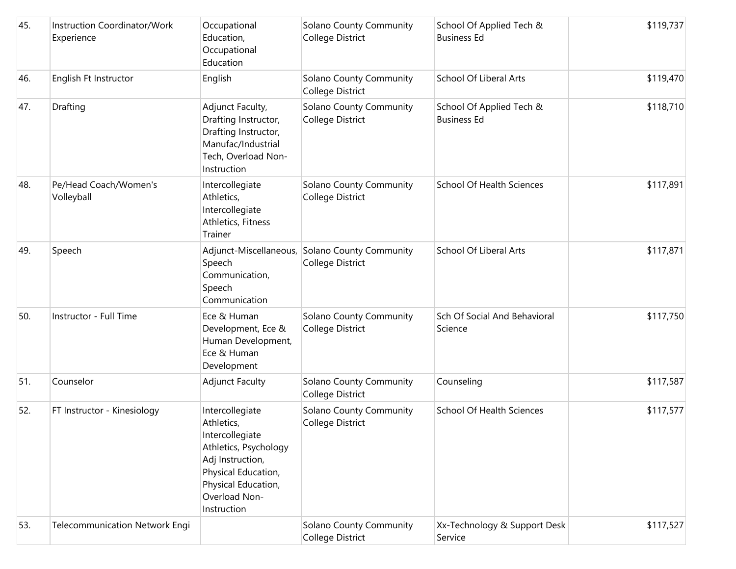| 45. | Instruction Coordinator/Work<br>Experience | Occupational<br>Education,<br>Occupational<br>Education                                                                                                                     | Solano County Community<br>College District | School Of Applied Tech &<br><b>Business Ed</b> | \$119,737 |
|-----|--------------------------------------------|-----------------------------------------------------------------------------------------------------------------------------------------------------------------------------|---------------------------------------------|------------------------------------------------|-----------|
| 46. | English Ft Instructor                      | English                                                                                                                                                                     | Solano County Community<br>College District | <b>School Of Liberal Arts</b>                  | \$119,470 |
| 47. | Drafting                                   | Adjunct Faculty,<br>Drafting Instructor,<br>Drafting Instructor,<br>Manufac/Industrial<br>Tech, Overload Non-<br>Instruction                                                | Solano County Community<br>College District | School Of Applied Tech &<br><b>Business Ed</b> | \$118,710 |
| 48. | Pe/Head Coach/Women's<br>Volleyball        | Intercollegiate<br>Athletics,<br>Intercollegiate<br>Athletics, Fitness<br>Trainer                                                                                           | Solano County Community<br>College District | School Of Health Sciences                      | \$117,891 |
| 49. | Speech                                     | Adjunct-Miscellaneous,<br>Speech<br>Communication,<br>Speech<br>Communication                                                                                               | Solano County Community<br>College District | <b>School Of Liberal Arts</b>                  | \$117,871 |
| 50. | Instructor - Full Time                     | Ece & Human<br>Development, Ece &<br>Human Development,<br>Ece & Human<br>Development                                                                                       | Solano County Community<br>College District | Sch Of Social And Behavioral<br>Science        | \$117,750 |
| 51. | Counselor                                  | <b>Adjunct Faculty</b>                                                                                                                                                      | Solano County Community<br>College District | Counseling                                     | \$117,587 |
| 52. | FT Instructor - Kinesiology                | Intercollegiate<br>Athletics,<br>Intercollegiate<br>Athletics, Psychology<br>Adj Instruction,<br>Physical Education,<br>Physical Education,<br>Overload Non-<br>Instruction | Solano County Community<br>College District | School Of Health Sciences                      | \$117,577 |
| 53. | Telecommunication Network Engi             |                                                                                                                                                                             | Solano County Community<br>College District | Xx-Technology & Support Desk<br>Service        | \$117,527 |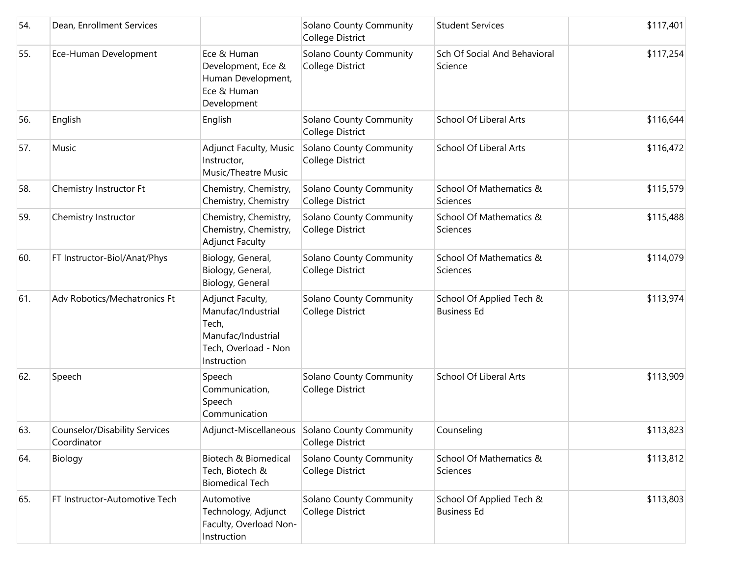| 54. | Dean, Enrollment Services                           |                                                                                                              | Solano County Community<br>College District                       | <b>Student Services</b>                        | \$117,401 |
|-----|-----------------------------------------------------|--------------------------------------------------------------------------------------------------------------|-------------------------------------------------------------------|------------------------------------------------|-----------|
| 55. | Ece-Human Development                               | Ece & Human<br>Development, Ece &<br>Human Development,<br>Ece & Human<br>Development                        | Solano County Community<br>College District                       | Sch Of Social And Behavioral<br>Science        | \$117,254 |
| 56. | English                                             | English                                                                                                      | <b>Solano County Community</b><br>College District                | School Of Liberal Arts                         | \$116,644 |
| 57. | Music                                               | Adjunct Faculty, Music<br>Instructor,<br>Music/Theatre Music                                                 | <b>Solano County Community</b><br>College District                | School Of Liberal Arts                         | \$116,472 |
| 58. | Chemistry Instructor Ft                             | Chemistry, Chemistry,<br>Chemistry, Chemistry                                                                | Solano County Community<br>College District                       | School Of Mathematics &<br>Sciences            | \$115,579 |
| 59. | Chemistry Instructor                                | Chemistry, Chemistry,<br>Chemistry, Chemistry,<br><b>Adjunct Faculty</b>                                     | Solano County Community<br>College District                       | School Of Mathematics &<br>Sciences            | \$115,488 |
| 60. | FT Instructor-Biol/Anat/Phys                        | Biology, General,<br>Biology, General,<br>Biology, General                                                   | Solano County Community<br>College District                       | School Of Mathematics &<br>Sciences            | \$114,079 |
| 61. | Adv Robotics/Mechatronics Ft                        | Adjunct Faculty,<br>Manufac/Industrial<br>Tech,<br>Manufac/Industrial<br>Tech, Overload - Non<br>Instruction | Solano County Community<br>College District                       | School Of Applied Tech &<br><b>Business Ed</b> | \$113,974 |
| 62. | Speech                                              | Speech<br>Communication,<br>Speech<br>Communication                                                          | Solano County Community<br>College District                       | <b>School Of Liberal Arts</b>                  | \$113,909 |
| 63. | <b>Counselor/Disability Services</b><br>Coordinator |                                                                                                              | Adjunct-Miscellaneous Solano County Community<br>College District | Counseling                                     | \$113,823 |
| 64. | Biology                                             | Biotech & Biomedical<br>Tech, Biotech &<br><b>Biomedical Tech</b>                                            | Solano County Community<br>College District                       | School Of Mathematics &<br>Sciences            | \$113,812 |
| 65. | FT Instructor-Automotive Tech                       | Automotive<br>Technology, Adjunct<br>Faculty, Overload Non-<br>Instruction                                   | Solano County Community<br>College District                       | School Of Applied Tech &<br><b>Business Ed</b> | \$113,803 |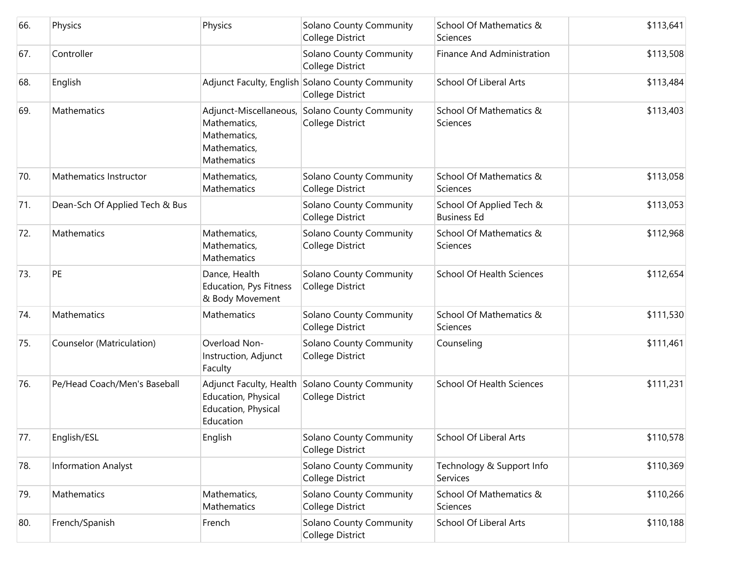| 66. | Physics                        | Physics                                                                               | Solano County Community<br>College District                          | School Of Mathematics &<br>Sciences            | \$113,641 |
|-----|--------------------------------|---------------------------------------------------------------------------------------|----------------------------------------------------------------------|------------------------------------------------|-----------|
| 67. | Controller                     |                                                                                       | Solano County Community<br>College District                          | Finance And Administration                     | \$113,508 |
| 68. | English                        |                                                                                       | Adjunct Faculty, English Solano County Community<br>College District | School Of Liberal Arts                         | \$113,484 |
| 69. | Mathematics                    | Adjunct-Miscellaneous,<br>Mathematics,<br>Mathematics,<br>Mathematics,<br>Mathematics | Solano County Community<br>College District                          | School Of Mathematics &<br><b>Sciences</b>     | \$113,403 |
| 70. | Mathematics Instructor         | Mathematics,<br>Mathematics                                                           | Solano County Community<br>College District                          | School Of Mathematics &<br>Sciences            | \$113,058 |
| 71. | Dean-Sch Of Applied Tech & Bus |                                                                                       | Solano County Community<br>College District                          | School Of Applied Tech &<br><b>Business Ed</b> | \$113,053 |
| 72. | Mathematics                    | Mathematics,<br>Mathematics,<br>Mathematics                                           | Solano County Community<br>College District                          | School Of Mathematics &<br>Sciences            | \$112,968 |
| 73. | PE                             | Dance, Health<br>Education, Pys Fitness<br>& Body Movement                            | Solano County Community<br>College District                          | <b>School Of Health Sciences</b>               | \$112,654 |
| 74. | Mathematics                    | Mathematics                                                                           | Solano County Community<br>College District                          | School Of Mathematics &<br>Sciences            | \$111,530 |
| 75. | Counselor (Matriculation)      | Overload Non-<br>Instruction, Adjunct<br>Faculty                                      | Solano County Community<br>College District                          | Counseling                                     | \$111,461 |
| 76. | Pe/Head Coach/Men's Baseball   | Adjunct Faculty, Health<br>Education, Physical<br>Education, Physical<br>Education    | Solano County Community<br>College District                          | <b>School Of Health Sciences</b>               | \$111,231 |
| 77. | English/ESL                    | English                                                                               | Solano County Community<br>College District                          | <b>School Of Liberal Arts</b>                  | \$110,578 |
| 78. | <b>Information Analyst</b>     |                                                                                       | <b>Solano County Community</b><br>College District                   | Technology & Support Info<br>Services          | \$110,369 |
| 79. | Mathematics                    | Mathematics,<br>Mathematics                                                           | Solano County Community<br>College District                          | School Of Mathematics &<br>Sciences            | \$110,266 |
| 80. | French/Spanish                 | French                                                                                | Solano County Community<br>College District                          | School Of Liberal Arts                         | \$110,188 |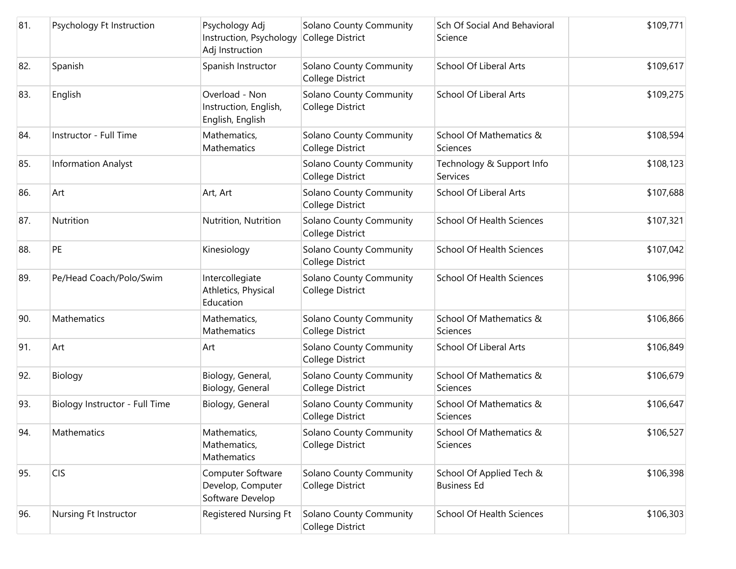| 81. | Psychology Ft Instruction      | Psychology Adj<br>Instruction, Psychology<br>Adj Instruction | <b>Solano County Community</b><br>College District | Sch Of Social And Behavioral<br>Science        | \$109,771 |
|-----|--------------------------------|--------------------------------------------------------------|----------------------------------------------------|------------------------------------------------|-----------|
| 82. | Spanish                        | Spanish Instructor                                           | Solano County Community<br>College District        | School Of Liberal Arts                         | \$109,617 |
| 83. | English                        | Overload - Non<br>Instruction, English,<br>English, English  | <b>Solano County Community</b><br>College District | <b>School Of Liberal Arts</b>                  | \$109,275 |
| 84. | Instructor - Full Time         | Mathematics,<br>Mathematics                                  | Solano County Community<br>College District        | School Of Mathematics &<br>Sciences            | \$108,594 |
| 85. | <b>Information Analyst</b>     |                                                              | Solano County Community<br>College District        | Technology & Support Info<br>Services          | \$108,123 |
| 86. | Art                            | Art, Art                                                     | <b>Solano County Community</b><br>College District | School Of Liberal Arts                         | \$107,688 |
| 87. | Nutrition                      | Nutrition, Nutrition                                         | Solano County Community<br>College District        | <b>School Of Health Sciences</b>               | \$107,321 |
| 88. | PE                             | Kinesiology                                                  | Solano County Community<br>College District        | <b>School Of Health Sciences</b>               | \$107,042 |
| 89. | Pe/Head Coach/Polo/Swim        | Intercollegiate<br>Athletics, Physical<br>Education          | <b>Solano County Community</b><br>College District | <b>School Of Health Sciences</b>               | \$106,996 |
| 90. | Mathematics                    | Mathematics,<br><b>Mathematics</b>                           | Solano County Community<br>College District        | School Of Mathematics &<br>Sciences            | \$106,866 |
| 91. | Art                            | Art                                                          | Solano County Community<br>College District        | School Of Liberal Arts                         | \$106,849 |
| 92. | Biology                        | Biology, General,<br>Biology, General                        | Solano County Community<br>College District        | School Of Mathematics &<br>Sciences            | \$106,679 |
| 93. | Biology Instructor - Full Time | Biology, General                                             | Solano County Community<br>College District        | School Of Mathematics &<br>Sciences            | \$106,647 |
| 94. | Mathematics                    | Mathematics,<br>Mathematics,<br>Mathematics                  | Solano County Community<br>College District        | School Of Mathematics &<br>Sciences            | \$106,527 |
| 95. | <b>CIS</b>                     | Computer Software<br>Develop, Computer<br>Software Develop   | Solano County Community<br>College District        | School Of Applied Tech &<br><b>Business Ed</b> | \$106,398 |
| 96. | Nursing Ft Instructor          | Registered Nursing Ft                                        | Solano County Community<br>College District        | School Of Health Sciences                      | \$106,303 |